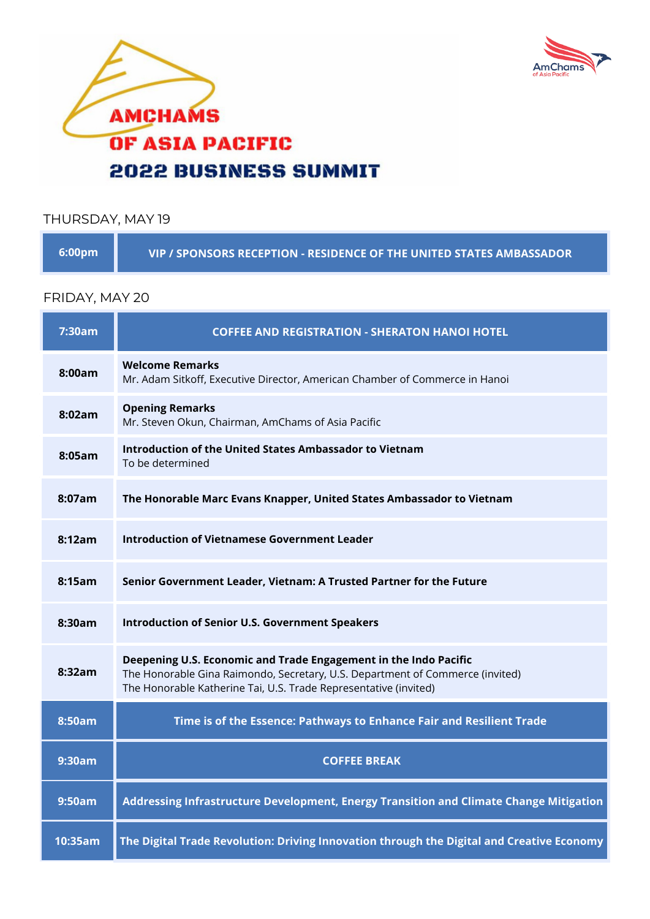



## THURSDAY, MAY 19

| .6:00pm \ | VIP / SPONSORS RECEPTION - RESIDENCE OF THE UNITED STATES AMBASSADOR |
|-----------|----------------------------------------------------------------------|
|-----------|----------------------------------------------------------------------|

## FRIDAY, MAY 20

| 7:30am  | <b>COFFEE AND REGISTRATION - SHERATON HANOI HOTEL</b>                                                                                                                                                                 |
|---------|-----------------------------------------------------------------------------------------------------------------------------------------------------------------------------------------------------------------------|
| 8:00am  | <b>Welcome Remarks</b><br>Mr. Adam Sitkoff, Executive Director, American Chamber of Commerce in Hanoi                                                                                                                 |
| 8:02am  | <b>Opening Remarks</b><br>Mr. Steven Okun, Chairman, AmChams of Asia Pacific                                                                                                                                          |
| 8:05am  | Introduction of the United States Ambassador to Vietnam<br>To be determined                                                                                                                                           |
| 8:07am  | The Honorable Marc Evans Knapper, United States Ambassador to Vietnam                                                                                                                                                 |
| 8:12am  | <b>Introduction of Vietnamese Government Leader</b>                                                                                                                                                                   |
| 8:15am  | Senior Government Leader, Vietnam: A Trusted Partner for the Future                                                                                                                                                   |
| 8:30am  | <b>Introduction of Senior U.S. Government Speakers</b>                                                                                                                                                                |
| 8:32am  | Deepening U.S. Economic and Trade Engagement in the Indo Pacific<br>The Honorable Gina Raimondo, Secretary, U.S. Department of Commerce (invited)<br>The Honorable Katherine Tai, U.S. Trade Representative (invited) |
| 8:50am  | Time is of the Essence: Pathways to Enhance Fair and Resilient Trade                                                                                                                                                  |
| 9:30am  | <b>COFFEE BREAK</b>                                                                                                                                                                                                   |
| 9:50am  | Addressing Infrastructure Development, Energy Transition and Climate Change Mitigation                                                                                                                                |
| 10:35am | The Digital Trade Revolution: Driving Innovation through the Digital and Creative Economy                                                                                                                             |